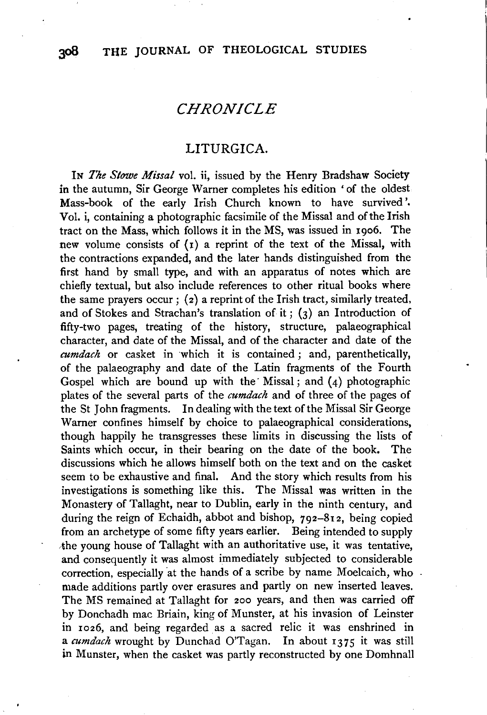## *CHRONICLE*

## LITURGICA.

IN *The Stowe Missal* vol. ii, issued by the Henry Bradshaw Society in the autumn, Sir George Warner completes his edition 'of the oldest Mass-book of the early Irish Church known to have survived'. Vol. i, containing a photographic facsimile of the Missal and of the Irish tract on the Mass, which follows it in the MS, was issued in 1906. The new volume consists of  $(1)$  a reprint of the text of the Missal, with the contractions expanded, and the later hands distinguished from the first hand by small type, and with an apparatus of notes which are chiefly textual, but also include references to other ritual books where the same prayers occur; (2) a reprint of the Irish tract, similarly treated, and of Stokes and Strachan's translation of it;  $(3)$  an Introduction of fifty-two pages, treating of the history, structure, palaeographical character, and date of the Missal, and of the character and date of the *cumdach* or casket in which it is contained ; and, parenthetically, of the palaeography and date of the Latin fragments of the Fourth Gospel which are bound up with the Missal; and  $(4)$  photographic plates of the several parts of the *cumdach* and of three of the pages of the St John fragments. In dealing with the text of the Missal Sir George Warner confines himself by choice to palaeographical considerations, though happily he transgresses these limits in discussing the lists of Saints which occur, in their bearing on the date of the book. The discussions which he allows himself both on the text and on the casket seem to be exhaustive and final. And the story which results from his investigations is something like this. The Missal was written in the Monastery of Tallaght, near to Dublin, early in the ninth century, and during the reign of Echaidh, abbot and bishop, 792-812, being copied from an archetype of some fifty years earlier. Being intended to supply the young house of Tallaght with an authoritative use, it was tentative, and consequently it was almost immediately subjected to considerable correction, especially at the hands of a scribe by name Moelcaich, who made additions partly over erasures and partly on new inserted leaves. The MS remained at Tallaght for 200 years, and then was carried off by Donchadh mac Briain, king of Munster, at his invasion of Leinster in 1026, and being regarded as a sacred relic it was enshrined in a *cumdach* wrought by Dunchad O'Tagan. In about 1375 it was still in Munster, when the casket was partly reconstructed by one Domhnall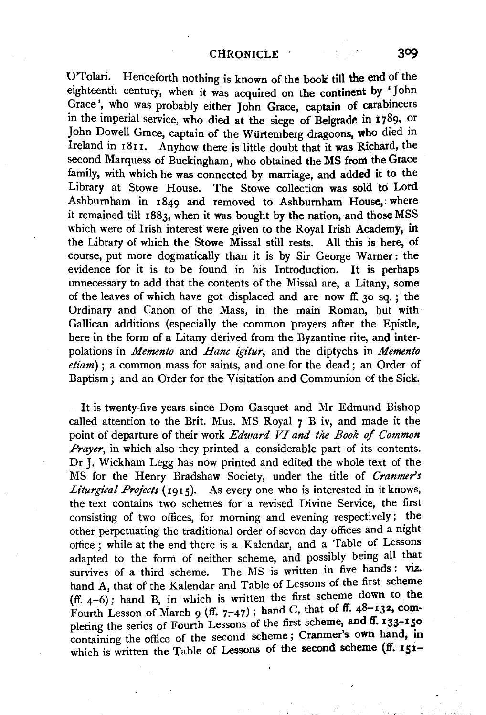D'Tolari. Henceforth nothing is known of the book till the end of the eighteenth century, when it was acquired on the continent by 'John Grace', who was probably either John Grace, captain of carabineers in the imperial service, who died at the siege of Belgrade in 1789, or John Dowell Grace, captain of the Würtemberg dragoons, who died in Ireland in 1811. Anyhow there is little doubt that it was Richard, the second Marquess of Buckingham, who obtained the MS from the Grace family, with which he was connected by marriage, and added it to the Library at Stowe House. The Stowe collection was sold to Lord Ashburnham in 1849 and removed to Ashbumham House,: where it remained till 1883, when it was bought by the nation, and thoseMSS which were of Irish interest were given to the Royal Irish Academy, in the Library of which the Stowe Missal still rests. All this is here, of course, put more dogmatically than it is by Sir George Warner: the evidence for it is to be found in his Introduction. It is perhaps unnecessary to add that the contents of the Missal are, a Litany, some of the leaves of which have got displaced and are now ff. 30 sq. ; the Ordinary and Canon of the Mass, in the main Roman, but with Gallican additions (especially the common prayers after the Epistle, here in the form of a Litany derived from the Byzantine rite, and interpolations in *Memento* and *Hane igitur,* and the diptychs in *Memento etiam);* a common mass for saints, and one for the dead; an Order of Baptism ; and an Order for the Visitation and Communion of the Sick.

It is twenty-five years since Dom Gasquet and Mr Edmund Bishop called attention to the Brit. Mus. MS Royal 7 B iv, and made it the point of departure of their work *Edward VI and the Book of Common Prayer*, in which also they printed a considerable part of its contents. Dr J. Wickham Legg has now printed and edited the whole text of the MS for the Henry Bradshaw Society, under the title of *Cranmer's Liturgical Projects* (1915). As every one who is interested in it knows, the text contains two schemes for a revised Divine Service, the first consisting of two offices, for morning and evening respectively; the other perpetuating the traditional order of seven day offices and a night office ; while at the end there is a Kalendar, and a Table of Lessons adapted to the form of neither scheme, and possibly being all that survives of a third scheme. The MS is written in five hands: viz. hand A, that of the Kalendar and Table of Lessons of the first scheme (ff. 4-6); hand B, in which is written the first scheme down to the Fourth Lesson of March 9 (ff.  $7-47$ ); hand C, that of ff.  $48-132$ , completing the series of Fourth Lessons of the first scheme, and ff. 133-150 containing the office of the second scheme; Cranmer's own hand, in which is written the Table of Lessons of the second scheme  $(f_i, 151)$ 

<sup>1</sup>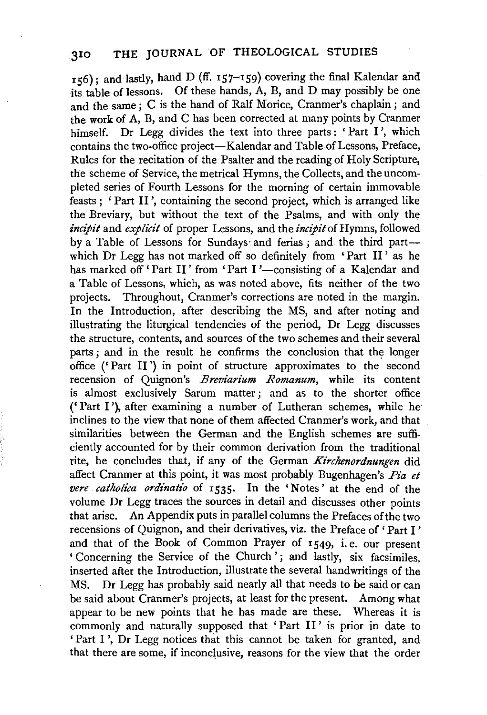156); and lastly, hand D (ff. 157-159) covering the final Kalendar and its table of lessons. Of these hands, A, B, and D may possibly be one and the same ; C is the hand of Ralf Morice, Cranmer's chaplain ; and the work of A, B, and C has been corrected at many points by Cranmer himself. Dr Legg divides the text into three parts: 'Part I', which contains the two-office project-Kalendar and Table of Lessons, Preface, Rules for the recitation of the Psalter and the reading of Holy Scripture, the scheme of Service, the metrical Hymns, the Collects, and the uncompleted series of Fourth Lessons for the morning of certain immovable feasts ; ' Part II ', containing the second project, which is arranged like the Breviary, but without the text of the Psalms, and with only the *incipit* and *explicit* of proper Lessons, and the *incipit* of Hymns, followed by a Table of Lessons for Sundays and ferias; and the third partwhich Dr Legg has not marked off so definitely from 'Part II ' as he has marked off 'Part II' from 'Part I'-consisting of a Kalendar and a Table of Lessons, which, as was noted above, fits neither of the two projects. Throughout, Cranmer's corrections are noted in the margin. In the Introduction, after describing the MS, and after noting and illustrating the liturgical tendencies of the period, Dr Legg discusses the structure, contents, and sources of the two schemes and their several parts; and in the result he confirms the conclusion that the longer office ('Part II') in point of structure approximates to the second recension of Quignon's *Breviarium Romanum,* while its content is almost exclusively Sarum matter ; and as to the shorter office ('Part I'), after examining a number of Lutheran schemes, while he· inclines to the view that none of them affected Cranmer's work, and that similarities between the German and the English schemes are sufficiently accounted for by their common derivation from the traditional rite, he concludes that, if any of the German *Kirchenordnungen* did affect Cranmer at this point, it was most probably Bugenhagen's *Pia et vere catholica ordinati'o* of 1535. In the 'Notes' at the end of the volume Dr Legg traces the sources in detail and discusses other points that arise. An Appendix puts in parallel columns the Prefaces of the two recensions of Quignon, and their derivatives, viz. the Preface of ' Part I ' and that of the Book of Common Prayer of 1549, i. e. our present ' Concerning the Service of the Church '; and lastly, six facsimiles, inserted after the Introduction, illustrate the several handwritings of the MS. Dr Legg has probably said nearly all that needs to be said or can be said about Cranmer's projects, at least for the present. Among what appear to be new points that he has made are these. Whereas it is commonly and naturally supposed that 'Part II' is prior in date to 'Part I ', Dr Legg notices that this cannot be taken for granted, and that there are some, if inconclusive, reasons for the view that the order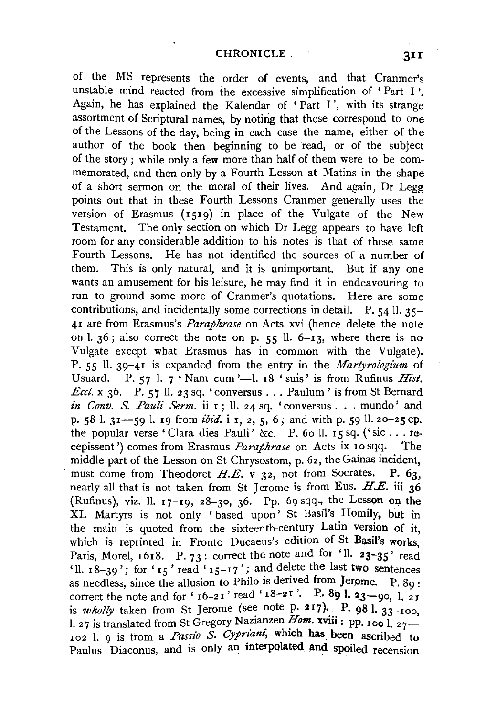of the MS represents the order of events, and that Cranmer's unstable mind reacted from the excessive simplification of 'Part I'. Again, he has explained the Kalendar of ' Part I', with its strange assortment of Scriptural names, by noting that these correspond to one of the Lessons of the day, being in each case the name, either of the author of the book then beginning to be read, or of the subject of the story ; while only a few more than half of them were to be commemorated, and then only by a Fourth Lesson at Matins in the shape of a short sermon on the moral of their lives. And again, Dr Legg points out that in these Fourth Lessons Cranmer generally uses the version of Erasmus (1519) in place of the Vulgate of the New Testament. The only section on which Dr Legg appears to have left room for any considerable addition to his notes is that of these same Fourth Lessons. He bas not identified the sources of a number of them. This is only natural, and it is unimportant. But if any one wants an amusement for his leisure, he may find it in endeavouring to tun to ground some more of Cranmer's quotations. Here are some contributions, and incidentally some corrections in detail. P. 54 ll. 35- 41 are from Erasmus's *Paraphrase* on Acts xvi (hence delete the note on 1.  $36$ ; also correct the note on p.  $55$  ll.  $6-\overline{13}$ , where there is no Vulgate except what Erasmus has in common with the Vulgate). P. 55 11. 39-41 is expanded from the entry in the *Martyrologium* of Usuard. P. 57 l.  $7 \cdot$  Nam cum '-1. 18  $\cdot$  suis' is from Rufinus *Hist*. *Eccl.*  $x$  36. P. 57 ll. 23 sq. 'conversus . . . Paulum' is from St Bernard *in Conv. S. Pauli Serm.* ii 1; 11. 24 sq. 'conversus . . . mundo' and p. 58 l. 31 -- 59 l. 19 from *ibid.* i 1, 2, 5, 6; and with p. 59 ll. 20-25 cp. the popular verse 'Clara dies Pauli' &c. P. 60 ll. 15 sq. ('sic ... recepissent ') comes from Erasmus *Paraphrase* on Acts ix 10 sqq. The middle part of the Lesson on St Chrysostom, p. 62, the Gainas incident, must come from Theodoret  $H.E.$  v 32, not from Socrates. P. 63, nearly all that is not taken from St Jerome is from Eus.  $H.E.$  iii 36 (Rufinus), viz. 11.  $17-19$ ,  $28-30$ ,  $36$ . Pp. 69 sqq., the Lesson on the XL Martyrs is not only 'based upon' St Basil's Homily, but in the main is quoted from the sixteenth-century Latin version of it. which is reprinted in Fronto Ducaeus's edition of St Basil's works, Paris, Morel, 1618. P. 73: correct the note and for 'll.  $23-35'$  read 'll.  $18-39$ '; for ' $15$ ' read ' $15-17$ '; and delete the last two sentences as needless, since the allusion to Philo is derived from Jerome.  $P. 89$ : correct the note and for ' $16-21$ ' read ' $18-21$ '. P. 89 l.  $23-90$ , l. 21 is *wholly* taken from St Jerome (see note p. 217). P. 981.  $33-100$ , 1. 27 is translated from St Gregory Nazianzen *Hom.* xviii: pp. 100 l,  $_{27}$ 102 l. 9 is from a *Passio S. Cypriant*, which has been ascribed to Paulus Diaconus, and is only an interpolated and spoiled recension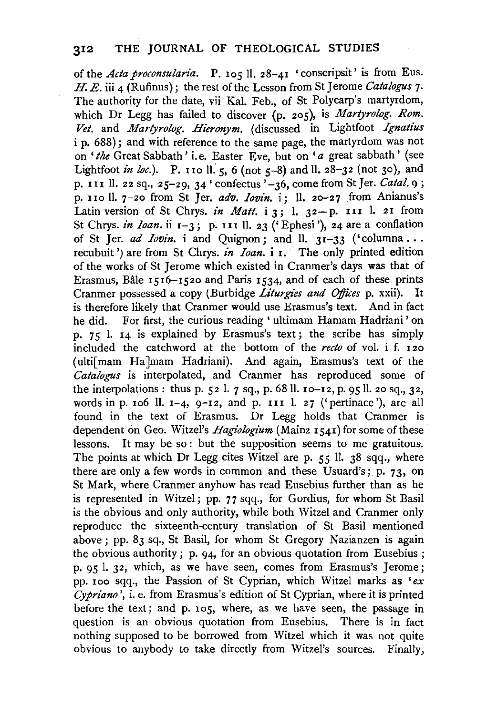of the *Acta proconsularia.* P. 105 11. 28-4I 'conscripsit' is from Eus. H. *E.* iii 4 (Rufinus) ; the rest of the Lesson from St Jerome *Catalogus* 7. The authority for the date, vii Kal. Feb., of St Polycarp's martyrdom, which Dr Legg has failed to discover (p. 205), is *Martyrolog. Rom. Vet.* and *Martyrolog. Hieronym.* (discussed in Lightfoot *Ignatius*  i p. 688); and with reference to the same page, the martyrdom was not on *'the* Great Sabbath' i. e. Easter Eve, but on *'a* great sabbath' (see Lightfoot *in loc.*). P. 110 ll. 5, 6 (not 5-8) and ll. 28-32 (not 30), and p. I 11 11. 22 sq., 25-29, 34' confectus '-36, come from St Jer. *Cata!.* 9; p. 110 ll. 7-20 from St Jer. *adv. Iovin.* i; ll. 20-27 from Anianus's Latin version of St Chrys. *in Matt.*  $i$  3; 1. 32-p. III l. 2I from St Chrys. *in Ioan*. ii 1-3; p. 111 ll. 23 ('Ephesi'), 24 are a conflation of St Jer. *ad Iovin*. *i* and Quignon; and ll. 31-33 ('columna ... recubuit ') are from St Chrys. *in Ioan*. *i* 1. The only printed edition of the works of St Jerome which existed in Cranmer's days was that of Erasmus, Bale I5I6-1520 and Paris 1534, and of each of these prints Cranmer possessed a copy (Burbidge *Liturgies and Offices* p. xxii). It is therefore likely that Cranmer would use Erasmus's text. And in fact he did. For first, the curious reading ' ultimam Hamam Hadriani' on p.  $75$  l. 14 is explained by Erasmus's text; the scribe has simply included the catchword at the bottom of the *recto* of vol. i f. I20 ( ulti[ mam Ha Jmam Hadriani). And again, Erasmus's text of the *Catalogus* is interpolated, and Cranmer has reproduced some of the interpolations : thus p. 52 l. 7 sq., p. 68 ll.  $10 - 12$ , p. 95 ll. 20 sq., 32, words in p. 106 ll.  $I-4$ ,  $Q-I2$ , and p. III 1. 27 ('pertinace'), are all found in the text of Erasmus. Dr Legg holds that Cranmer is dependent on Geo. Witzel's *Hagiologium* (Mainz 1541) for some of these lessons. It may be so: but the supposition seems to me gratuitous. The points at which Dr Legg cites Witzel are p. 55 ll. 38 sqq., where there are only a few words in common and these Usuard's; p.  $73$ , on St Mark, where Cranmer anyhow has read Eusebius further than as he is represented in Witzel; pp. 77 sqq., for Gordius, for whom St Basil is the obvious and only authority, while both Witzel and Cranmer only reproduce the sixteenth-century translation of St Basil mentioned above; pp. 83 sq., St Basil, for whom St Gregory Nazianzen is again the obvious authority; p. 94, for an obvious quotation from Eusebius; p. 95 1. 32, which, as we have seen, comes from Erasmus's Jerome; pp. Ioo sqq., the Passion of St Cyprian, which Witzel marks as *'ex Cyfriano* ', i. e. from Erasmus's edition of St Cyprian, where it is printed before the text; and p. Io5, where, as we have seen, the passage in question is an obvious quotation from Eusebius. There is in fact nothing supposed to be borrowed from Witzel which it was not quite obvious to anybody to take directly from Witzel's sources. Finally,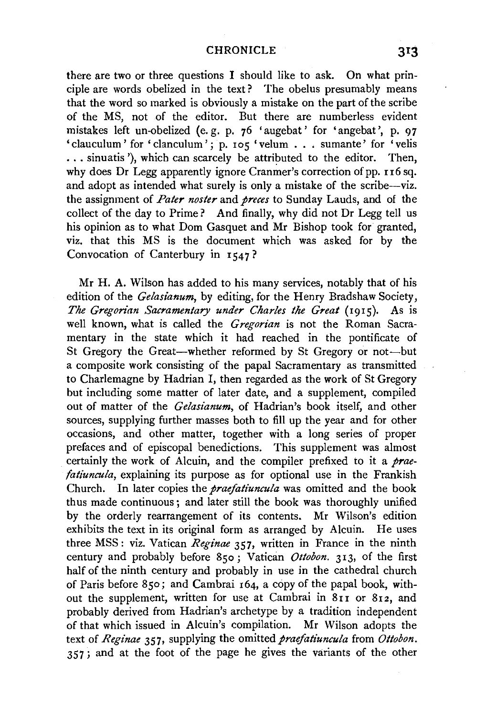## CHRONICLE

there are two or three questions I should like to ask. On what principle are words obelized in the text? The obelus presumably means that the word so marked is obviously a mistake on the part of the scribe of the MS, not of the editor. But there are numberless evident mistakes left un-obelized (e. g. p. 76 'augebat' for 'angebat ', p. 97 mistakes lett un-obelized (e.g. p. 76 'augebat' for 'angebat', p. 97<br>clauculum' for 'clanculum'; p. 105 'velum ... sumante' for 'velis ... sinuatis '), which can scarcely be attributed to the editor. Then, why does Dr Legg apparently ignore Cranmer's correction of pp. 116 sq. and adopt as intended what surely is only a mistake of the scribe-viz. the assignment of *Pater noster* and *preces* to Sunday Lauds, and of the collect of the day to Prime? And finally, why did not Dr Legg tell us his opinion as to what Dom Gasquet and Mr Bishop took for granted, viz. that this MS is the document which was asked for by the Convocation of Canterbury in  $1547$ ?

Mr H. A. Wilson has added to his many services, notably that of his edition of the *Gelasianum,* by editing, for the Henry Bradshaw Society, *The Gregorian Sacramentary under Charles the Great* (1915). As is well known, what is called the *Gregorian* is not the Roman Sacramentary in the state which it had reached in the pontificate of St Gregory the Great-whether reformed by St Gregory or not-but a composite work consisting of the papal Sacramentary as transmitted to Charlemagne by Hadrian I, then regarded as the work of St Gregory but including some matter of later date, and a supplement, compiled out of matter of the *Gelasianum,* of Hadrian's book itself, and other sources, supplying further masses both to fill up the year and for other occasions, and other matter, together with a long series of proper prefaces and of episcopal benedictions. This supplement was almost certainly the work of Alcuin, and the compiler prefixed to it a *praefatiuncula*, explaining its purpose as for optional use in the Frankish Church. In later copies the *praefatiuncula* was omitted and the book thus made continuous; and later still the book was thoroughly unified by the orderly rearrangement of its contents. Mr Wilson's edition exhibits the text in its original form as arranged by Alcuin. He uses three MSS: viz. Vatican *Reginae* 357, written in France in the ninth century and probably before 850; Vatican *Ottobon.* 313, of the first half of the ninth century and probably in use in the cathedral church of Paris before 850; and Cambrai 164, a copy of the papal book, without the supplement, written for use at Cambrai in  $811$  or  $812$ , and probably derived from Hadrian's archetype by a tradition independent of that which issued in Alcuin's compilation. Mr Wilson adopts the text of *Reginae* 357, supplying the omitted *praefatiuncula* from Ottobon. 357; and at the foot of the page he gives the variants of the other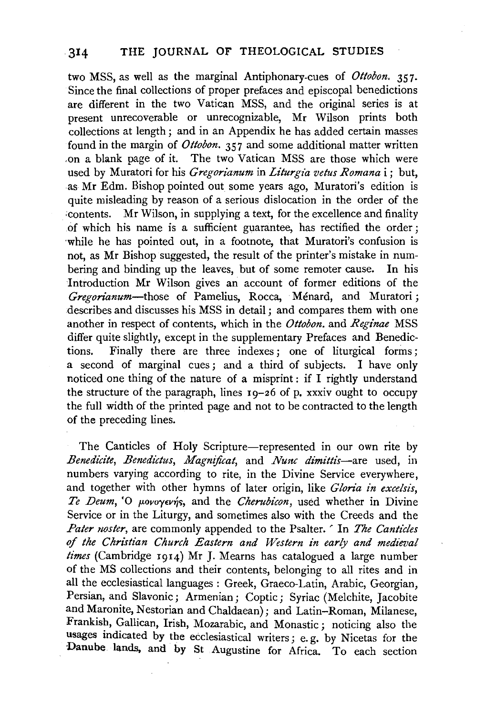two MSS, as well as the marginal Antiphonary-cues of *Ottobon.* 357. Since the final collections of proper prefaces and episcopal benedictions are different in the two Vatican MSS, and the original series is at present unrecoverable or unrecognizable, Mr Wilson prints both collections at length; and in an Appendix he has added certain masses found in the margin of *Ottobon.* 357 and some additional matter written ,on a blank page of it. The two Vatican MSS are those which were used by Muratori for his *Gregorianum* in *Liturgia vetus Romana i*; but, as Mr Edm. Bishop pointed out some years ago, Muratori's edition is quite misleading by reason of a serious dislocation in the order of the :contents. Mr Wilson, in supplying a text, for the excellence and finality of which his name is a sufficient guarantee, has rectified the order ; 'While he has pointed out, in a footnote, that Muratori's confusion is not, as Mr Bishop suggested, the result of the printer's mistake in numbering and binding up the leaves, but of some remoter cause. In his Introduction Mr Wilson gives an account of former editions of the *Gregorianum-those* of Pamelius, Rocca, Menard, and Muratori ; describes and discusses his MSS in detail ; and compares them with one another in respect of contents, which in the *Ottobon.* and *Regz'nae* MSS differ quite slightly, except in the supplementary Prefaces and Benedictions. Finally there are three indexes ; one of liturgical forms ; a second of marginal cues ; and a third of subjects. I have only noticed one thing of the nature of a misprint : if I rightly understand the structure of the paragraph, lines 19-26 of p. xxxiv ought to occupy the full width of the printed page and not to be contracted to the length of the preceding lines.

The Canticles of Holy Scripture-represented in our own rite by *Benedz'cite, Benedictus, Magnijicat,* and *Nu11c dimittis-are* used, in numbers varying according to rite, in the Divine Service everywhere, and together with other hymns of later origin, like *Gloria in excelsis,*  Te Deum, <sup>'</sup>O μονογενής, and the *Cherubicon*, used whether in Divine Service or in the Liturgy, and sometimes also with the Creeds and the *Pater noster*, are commonly appended to the Psalter. ' In *The Canticles of the Christian Church Eastern and Western in early and medieval times* (Cambridge 1914) Mr J. Mearns has catalogued a large number of the MS collections and their contents, belonging to all rites and in all the ecclesiastical languages: Greek, Graeco-Latin, Arabic, Georgian, Persian, and Slavonic; Armenian; Coptic; Syriac (Melchite, Jacobite and Maronite, Nestorian and Chaldaean); and Latin-Roman, Milanese, Frankish, Gallican, Irish, Mozarabic, and Monastic; noticing also the usages indicated by the ecclesiastical writers; e. g. by Nicetas for the Danube lands, and by St Augustine for Africa. To each section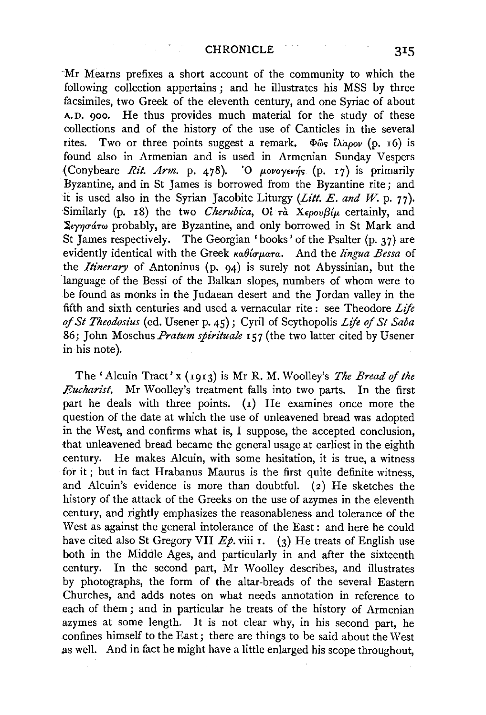Mr Mearns prefixes a short account of the community to which the following collection appertains ; and he illustrates his MSS by three facsimiles, two Greek of the eleventh century, and one Syriac of about A. D. 900. He thus provides much material for the study of these collections and of the history of the use of Canticles in the several rites. Two or three points suggest a remark. Φως ίλαρον (p. 16) is found also in Armenian and is used in Armenian Sunday Vespers (Conybeare *Rit. Arm.* p. 478). 'O  $\mu$ ovoyevns (p. 17) is primarily Byzantine, and in St James is borrowed from the Byzantine rite ; and it is used also in the Syrian Jacobite Liturgy *(Litt. E. and W. p. 77)*. Similarly (p. 18) the two *Cherubica*, Oi  $\tau_a$   $\bar{\alpha}$   $\bar{x}$   $\epsilon_{\mu\nu}$  certainly, and  $\Sigma_{V\gamma\gamma\sigma\alpha\tau\omega}$  probably, are Byzantine, and only borrowed in St Mark and St James respectively. The Georgian 'books' of the Psalter (p. 37) are evidently identical with the Greek καθίσματα. And the *lingua Bessa* of the *Itinerary* of Antoninus (p. 94) is surely not Abyssinian, but the language of the Bessi of the Balkan slopes, numbers of whom were to be found as monks in the Judaean desert and the Jordan valley in the fifth and sixth centuries and used a vernacular rite : see Theodore *Life of St Theodosius* (ed. Usener p. 45); Cyril of Scythopolis *Life* of *St Saba*  86; John Moschus *Pratum spirituale* 157 (the two latter cited by Usener in his note).

The' Alcuin Tract' x (1913) is Mr R. M. Woolley's *The Bread of the Eucharist.* Mr Woolley's treatment falls into two parts. In the first part he deals with three points. (1) He examines once more the question of the date at which the use of unleavened bread was adopted in the West, and confirms what is, I suppose, the accepted conclusion, that unleavened bread became the general usage at earliest in the eighth century. He makes Alcuin, with some hesitation, it is true, a witness for it; but in fact Hrabanus Maurus is the first quite definite witness, and Alcuin's evidence is more than doubtful. (2) He sketches the history of the attack of the Greeks on the use of azymes in the eleventh century, and rightly emphasizes the reasonableness and tolerance of the West as against the general intolerance of the East : and here he could have cited also St Gregory VII *Ep*. viii r. (3) He treats of English use both in the Middle Ages, and particularly in and after the sixteenth century. In the second part, Mr Woolley describes, and illustrates by photographs, the form of the altar-breads of the several Eastern Churches, and adds notes on what needs annotation in reference to each of them ; and in particular he treats of the history of Armenian azymes at some length. It is not clear why, in his second part, he .confines himself to the East; there are things to be said about the West as well. And in fact he might have a little enlarged his scope throughout,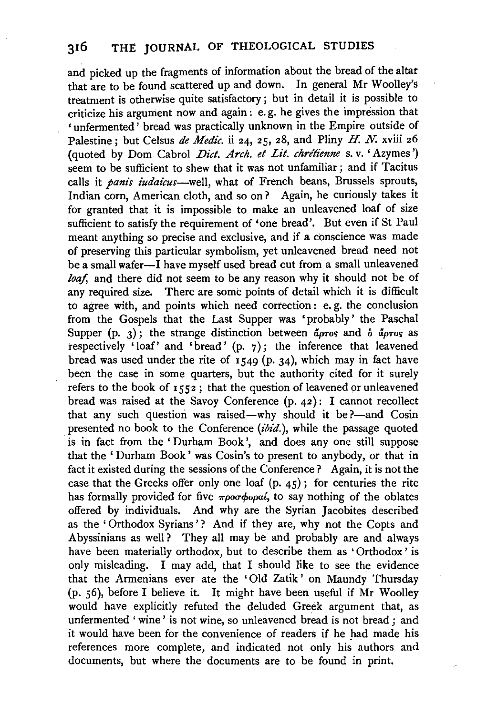and picked up the fragments of information about the bread of the altar that are to be found scattered up and down. Jn general Mr Woolley's treatment is otherwise quite satisfactory; but in detail it is possible to criticize his argument now and again: e. g. he gives the impression that ' unfermented' bread was practically unknown in the Empire outside of Palestine; but Celsus *de Medic.* ii 24, 25, 28, and Pliny H. *N.* xviii 26 (quoted by Dom Cabrol *Dict. Arch. et Lit. chrétienne* s. v. 'Azymes') seem to be sufficient to shew that it was not unfamiliar ; and if Tacitus calls it *panis iudaicus*-well, what of French beans, Brussels sprouts, Indian corn, American cloth, and so on? Again, he curiously takes it for granted that it is impossible to make an unleavened loaf of size sufficient to satisfy the requirement of 'one bread'. But even if St Paul meant anything so precise and exclusive, and if a conscience was made of preserving this particular symbolism, yet unleavened bread need not be a small wafer-I have myself used bread cut from a small unleavened loaf, and there did not seem to be any reason why it should not be of any required size. There are some points of detail which it is difficult to agree with, and points which need correction: e. g. the conclusion from the Gospels that the Last Supper was 'probably' the Paschal Supper (p. 3); the strange distinction between  $\tilde{a}$ *pros* and  $\delta$   $\tilde{a}$ *pros* as respectively 'loaf' and 'bread'  $(p, 7)$ ; the inference that leavened bread was used under the rite of  $1549$  (p. 34), which may in fact have been the case in some quarters, but the authority cited for it surely refers to the book of 1552; that the question of leavened or unleavened bread was raised at the Savoy Conference (p. 42) : I cannot recollect that any such question was raised-why should it be ?- and Cosin presented no book to the Conference *(ibid.),* while the passage quoted is in fact from the 'Durham Book', and does any one still suppose that the ' Durham Book' was Cosin's to present to anybody, or that in fact it existed during the sessions of the Conference? Again, it is not the case that the Greeks offer only one loaf  $(p, 45)$ ; for centuries the rite has formally provided for five  $\pi \rho \sigma \phi$  opa<sub>6</sub>, to say nothing of the oblates offered by individuals. And why are the Syrian Jacobites described as the 'Orthodox Syrians'? And if they are, why not the Copts and Abyssinians as well? They all may be and probably are and always have been materially orthodox, but to describe them as 'Orthodox' is only misleading. I may add, that I should like to see the evidence that the Armenians ever ate the 'Old Zatik' on Maundy Thursday (p. 56), before I believe it. It might have been useful if Mr Woolley would have explicitly refuted the deluded Greek argument that, as unfermented 'wine' is not wine, so unleavened bread is not bread; and it would have been for the convenience of readers if he had made his references more complete, and indicated not only his authors and documents, but where the documents are to be found in print.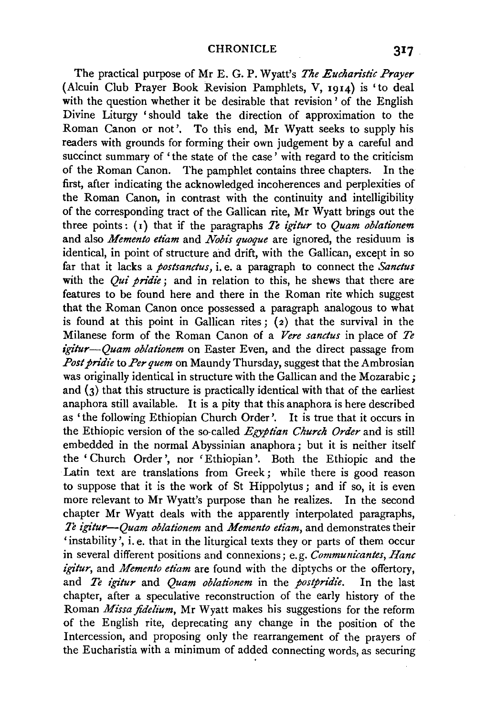The practical purpose of Mr E. G. P. Wyatt's *The Eucharistic Prayer*  (Alcuin Club Prayer Book Revision Pamphlets, V, 1914) is 'to deal with the question whether it be desirable that revision ' of the English Divine Liturgy 'should take the direction of approximation to the Roman Canon or not'. To this end, Mr Wyatt seeks to supply his readers with grounds for forming their own judgement by a careful and succinct summary of 'the state of the case' with regard to the criticism of the Roman Canon. The pamphlet contains three chapters. In the first, after indicating the acknowledged incoherences and perplexities of the Roman Canon, in contrast with the continuity and intelligibility of the corresponding tract of the Gallican rite, Mr Wyatt brings out the three points : (I) that if the paragraphs *Te igitur* to *Quam oblationem*  and also *Memento etiam* and *Nobis quoque* are ignored, the residuum is identical, in point of structure and drift, with the Gallican, except in so far that it lacks a *postsanctus*, *i.e.* a paragraph to connect the *Sanctus* with the *Qui pridie*; and in relation to this, he shews that there are features to be found here and there in the Roman rite which suggest that the Roman Canon once possessed a paragraph analogous to what is found at this point in Gallican rites;  $(z)$  that the survival in the Milanese form of the Roman Canon of a *Vere sane/us* in place of *Te igitur--Quam oblationem* on Easter Even, and the direct passage from *Post pridie* to *Per quem* on Maundy Thursday, suggest that the Ambrosian was originally identical in structure with the Gallican and the Mozarabic; and  $(3)$  that this structure is practically identical with that of the earliest anaphora still available. It is a pity that this anaphora is here described as 'the following Ethiopian Church Order'. It is true that it occurs in the Ethiopic version of the so-called *Egyptian Church Order* and is still embedded in the normal Abyssinian anaphora; but it is neither itself the ' Church Order', nor 'Ethiopian'. Both the Ethiopic and the Latin text are translations from Greek ; while there is good reason to suppose that it is the work of St Hippolytus; and if so, it is even more relevant to Mr Wyatt's purpose than he realizes. In the second chapter Mr Wyatt deals with the apparently interpolated paragraphs, *Te igitur-Quam oblationem* and *Memento etiam,* and demonstrates their 'instability', i.e. that in the liturgical texts they or parts of them occur in several different positions and connexions; e.g. *Communicantes, Hanc igitur,* and *Memento etiam* are found with the diptychs or the offertory, and *Te igitur* and *Quam oblationem* in the *postpridie.* In the last chapter, after a speculative reconstruction of the early history of the Roman *Missa jidelium,* Mr Wyatt makes his suggestions for the reform of the English rite, deprecating any change in the position of the Intercession, and proposing only the rearrangement of the prayers of the Eucharistia with a minimum of added connecting words, as securing